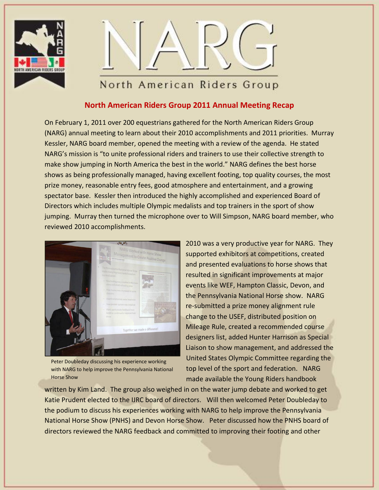



## **North American Riders Group 2011 Annual Meeting Recap**

On February 1, 2011 over 200 equestrians gathered for the North American Riders Group (NARG) annual meeting to learn about their 2010 accomplishments and 2011 priorities. Murray Kessler, NARG board member, opened the meeting with a review of the agenda. He stated NARG's mission is "to unite professional riders and trainers to use their collective strength to make show jumping in North America the best in the world." NARG defines the best horse shows as being professionally managed, having excellent footing, top quality courses, the most prize money, reasonable entry fees, good atmosphere and entertainment, and a growing spectator base. Kessler then introduced the highly accomplished and experienced Board of Directors which includes multiple Olympic medalists and top trainers in the sport of show jumping. Murray then turned the microphone over to Will Simpson, NARG board member, who reviewed 2010 accomplishments.



Peter Doubleday discussing his experience working with NARG to help improve the Pennsylvania National Horse Show

2010 was a very productive year for NARG. They supported exhibitors at competitions, created and presented evaluations to horse shows that resulted in significant improvements at major events like WEF, Hampton Classic, Devon, and the Pennsylvania National Horse show. NARG re-submitted a prize money alignment rule change to the USEF, distributed position on Mileage Rule, created a recommended course designers list, added Hunter Harrison as Special Liaison to show management, and addressed the United States Olympic Committee regarding the top level of the sport and federation. NARG made available the Young Riders handbook

written by Kim Land. The group also weighed in on the water jump debate and worked to get Katie Prudent elected to the IJRC board of directors. Will then welcomed Peter Doubleday to the podium to discuss his experiences working with NARG to help improve the Pennsylvania National Horse Show (PNHS) and Devon Horse Show. Peter discussed how the PNHS board of directors reviewed the NARG feedback and committed to improving their footing and other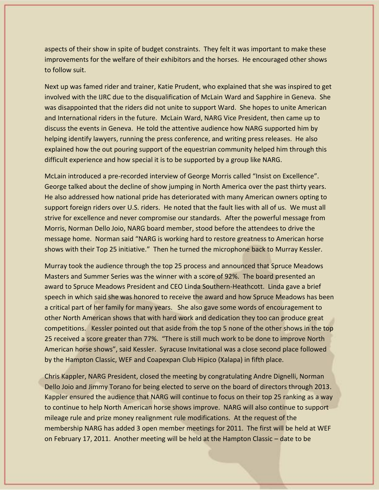aspects of their show in spite of budget constraints. They felt it was important to make these improvements for the welfare of their exhibitors and the horses. He encouraged other shows to follow suit.

Next up was famed rider and trainer, Katie Prudent, who explained that she was inspired to get involved with the IJRC due to the disqualification of McLain Ward and Sapphire in Geneva. She was disappointed that the riders did not unite to support Ward. She hopes to unite American and International riders in the future. McLain Ward, NARG Vice President, then came up to discuss the events in Geneva. He told the attentive audience how NARG supported him by helping identify lawyers, running the press conference, and writing press releases. He also explained how the out pouring support of the equestrian community helped him through this difficult experience and how special it is to be supported by a group like NARG.

McLain introduced a pre-recorded interview of George Morris called "Insist on Excellence". George talked about the decline of show jumping in North America over the past thirty years. He also addressed how national pride has deteriorated with many American owners opting to support foreign riders over U.S. riders. He noted that the fault lies with all of us. We must all strive for excellence and never compromise our standards. After the powerful message from Morris, Norman Dello Joio, NARG board member, stood before the attendees to drive the message home. Norman said "NARG is working hard to restore greatness to American horse shows with their Top 25 initiative." Then he turned the microphone back to Murray Kessler.

Murray took the audience through the top 25 process and announced that Spruce Meadows Masters and Summer Series was the winner with a score of 92%. The board presented an award to Spruce Meadows President and CEO Linda Southern-Heathcott. Linda gave a brief speech in which said she was honored to receive the award and how Spruce Meadows has been a critical part of her family for many years. She also gave some words of encouragement to other North American shows that with hard work and dedication they too can produce great competitions. Kessler pointed out that aside from the top 5 none of the other shows in the top 25 received a score greater than 77%. "There is still much work to be done to improve North American horse shows", said Kessler. Syracuse Invitational was a close second place followed by the Hampton Classic, WEF and Coapexpan Club Hipico (Xalapa) in fifth place.

Chris Kappler, NARG President, closed the meeting by congratulating Andre Dignelli, Norman Dello Joio and Jimmy Torano for being elected to serve on the board of directors through 2013. Kappler ensured the audience that NARG will continue to focus on their top 25 ranking as a way to continue to help North American horse shows improve. NARG will also continue to support mileage rule and prize money realignment rule modifications. At the request of the membership NARG has added 3 open member meetings for 2011. The first will be held at WEF on February 17, 2011. Another meeting will be held at the Hampton Classic – date to be